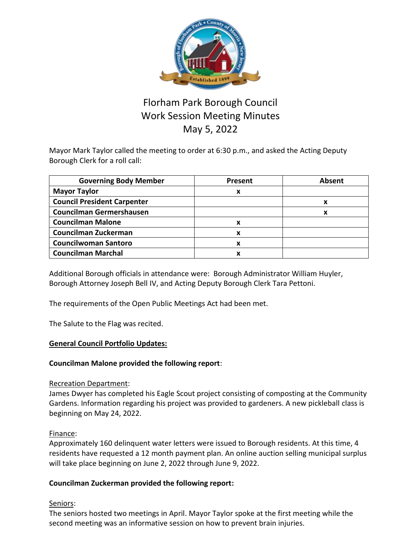

# Florham Park Borough Council Work Session Meeting Minutes May 5, 2022

Mayor Mark Taylor called the meeting to order at 6:30 p.m., and asked the Acting Deputy Borough Clerk for a roll call:

| <b>Governing Body Member</b>       | <b>Present</b> | <b>Absent</b> |
|------------------------------------|----------------|---------------|
| <b>Mayor Taylor</b>                | х              |               |
| <b>Council President Carpenter</b> |                | x             |
| Councilman Germershausen           |                | x             |
| <b>Councilman Malone</b>           | х              |               |
| Councilman Zuckerman               | x              |               |
| <b>Councilwoman Santoro</b>        | x              |               |
| <b>Councilman Marchal</b>          | х              |               |

Additional Borough officials in attendance were: Borough Administrator William Huyler, Borough Attorney Joseph Bell IV, and Acting Deputy Borough Clerk Tara Pettoni.

The requirements of the Open Public Meetings Act had been met.

The Salute to the Flag was recited.

### **General Council Portfolio Updates:**

### **Councilman Malone provided the following report**:

#### Recreation Department:

James Dwyer has completed his Eagle Scout project consisting of composting at the Community Gardens. Information regarding his project was provided to gardeners. A new pickleball class is beginning on May 24, 2022.

#### Finance:

Approximately 160 delinquent water letters were issued to Borough residents. At this time, 4 residents have requested a 12 month payment plan. An online auction selling municipal surplus will take place beginning on June 2, 2022 through June 9, 2022.

### **Councilman Zuckerman provided the following report:**

#### Seniors:

The seniors hosted two meetings in April. Mayor Taylor spoke at the first meeting while the second meeting was an informative session on how to prevent brain injuries.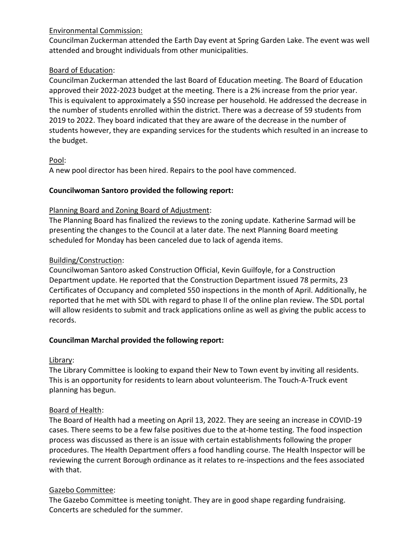### Environmental Commission:

Councilman Zuckerman attended the Earth Day event at Spring Garden Lake. The event was well attended and brought individuals from other municipalities.

### Board of Education:

Councilman Zuckerman attended the last Board of Education meeting. The Board of Education approved their 2022-2023 budget at the meeting. There is a 2% increase from the prior year. This is equivalent to approximately a \$50 increase per household. He addressed the decrease in the number of students enrolled within the district. There was a decrease of 59 students from 2019 to 2022. They board indicated that they are aware of the decrease in the number of students however, they are expanding services for the students which resulted in an increase to the budget.

### Pool:

A new pool director has been hired. Repairs to the pool have commenced.

### **Councilwoman Santoro provided the following report:**

### Planning Board and Zoning Board of Adjustment:

The Planning Board has finalized the reviews to the zoning update. Katherine Sarmad will be presenting the changes to the Council at a later date. The next Planning Board meeting scheduled for Monday has been canceled due to lack of agenda items.

### Building/Construction:

Councilwoman Santoro asked Construction Official, Kevin Guilfoyle, for a Construction Department update. He reported that the Construction Department issued 78 permits, 23 Certificates of Occupancy and completed 550 inspections in the month of April. Additionally, he reported that he met with SDL with regard to phase II of the online plan review. The SDL portal will allow residents to submit and track applications online as well as giving the public access to records.

# **Councilman Marchal provided the following report:**

# Library:

The Library Committee is looking to expand their New to Town event by inviting all residents. This is an opportunity for residents to learn about volunteerism. The Touch-A-Truck event planning has begun.

# Board of Health:

The Board of Health had a meeting on April 13, 2022. They are seeing an increase in COVID-19 cases. There seems to be a few false positives due to the at-home testing. The food inspection process was discussed as there is an issue with certain establishments following the proper procedures. The Health Department offers a food handling course. The Health Inspector will be reviewing the current Borough ordinance as it relates to re-inspections and the fees associated with that.

# Gazebo Committee:

The Gazebo Committee is meeting tonight. They are in good shape regarding fundraising. Concerts are scheduled for the summer.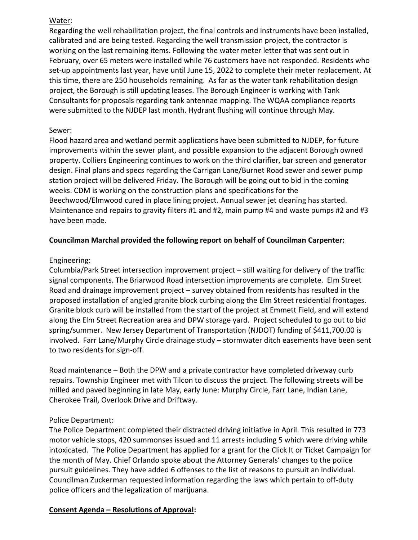### Water:

Regarding the well rehabilitation project, the final controls and instruments have been installed, calibrated and are being tested. Regarding the well transmission project, the contractor is working on the last remaining items. Following the water meter letter that was sent out in February, over 65 meters were installed while 76 customers have not responded. Residents who set-up appointments last year, have until June 15, 2022 to complete their meter replacement. At this time, there are 250 households remaining. As far as the water tank rehabilitation design project, the Borough is still updating leases. The Borough Engineer is working with Tank Consultants for proposals regarding tank antennae mapping. The WQAA compliance reports were submitted to the NJDEP last month. Hydrant flushing will continue through May.

### Sewer:

Flood hazard area and wetland permit applications have been submitted to NJDEP, for future improvements within the sewer plant, and possible expansion to the adjacent Borough owned property. Colliers Engineering continues to work on the third clarifier, bar screen and generator design. Final plans and specs regarding the Carrigan Lane/Burnet Road sewer and sewer pump station project will be delivered Friday. The Borough will be going out to bid in the coming weeks. CDM is working on the construction plans and specifications for the Beechwood/Elmwood cured in place lining project. Annual sewer jet cleaning has started. Maintenance and repairs to gravity filters #1 and #2, main pump #4 and waste pumps #2 and #3 have been made.

# **Councilman Marchal provided the following report on behalf of Councilman Carpenter:**

### Engineering:

Columbia/Park Street intersection improvement project – still waiting for delivery of the traffic signal components. The Briarwood Road intersection improvements are complete. Elm Street Road and drainage improvement project – survey obtained from residents has resulted in the proposed installation of angled granite block curbing along the Elm Street residential frontages. Granite block curb will be installed from the start of the project at Emmett Field, and will extend along the Elm Street Recreation area and DPW storage yard. Project scheduled to go out to bid spring/summer. New Jersey Department of Transportation (NJDOT) funding of \$411,700.00 is involved. Farr Lane/Murphy Circle drainage study – stormwater ditch easements have been sent to two residents for sign-off.

Road maintenance – Both the DPW and a private contractor have completed driveway curb repairs. Township Engineer met with Tilcon to discuss the project. The following streets will be milled and paved beginning in late May, early June: Murphy Circle, Farr Lane, Indian Lane, Cherokee Trail, Overlook Drive and Driftway.

### Police Department:

The Police Department completed their distracted driving initiative in April. This resulted in 773 motor vehicle stops, 420 summonses issued and 11 arrests including 5 which were driving while intoxicated. The Police Department has applied for a grant for the Click It or Ticket Campaign for the month of May. Chief Orlando spoke about the Attorney Generals' changes to the police pursuit guidelines. They have added 6 offenses to the list of reasons to pursuit an individual. Councilman Zuckerman requested information regarding the laws which pertain to off-duty police officers and the legalization of marijuana.

# **Consent Agenda – Resolutions of Approval:**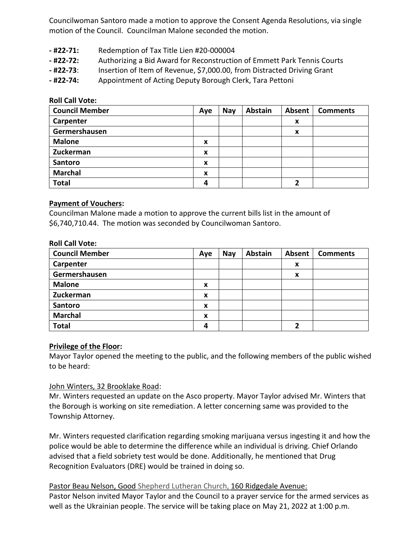Councilwoman Santoro made a motion to approve the Consent Agenda Resolutions, via single motion of the Council. Councilman Malone seconded the motion.

- **- #22-71:** Redemption of Tax Title Lien #20-000004
- **- #22-72:** Authorizing a Bid Award for Reconstruction of Emmett Park Tennis Courts
- **- #22-73**: Insertion of Item of Revenue, \$7,000.00, from Distracted Driving Grant
- **- #22-74:** Appointment of Acting Deputy Borough Clerk, Tara Pettoni

**Roll Call Vote:**

| <b>Council Member</b> | Aye | <b>Nay</b> | <b>Abstain</b> | Absent | <b>Comments</b> |
|-----------------------|-----|------------|----------------|--------|-----------------|
| Carpenter             |     |            |                | X      |                 |
| Germershausen         |     |            |                | X      |                 |
| <b>Malone</b>         | X   |            |                |        |                 |
| Zuckerman             | X   |            |                |        |                 |
| Santoro               | X   |            |                |        |                 |
| <b>Marchal</b>        | x   |            |                |        |                 |
| <b>Total</b>          | Δ   |            |                |        |                 |

#### **Payment of Vouchers:**

Councilman Malone made a motion to approve the current bills list in the amount of \$6,740,710.44. The motion was seconded by Councilwoman Santoro.

| <b>Roll Call Vote:</b> |  |  |
|------------------------|--|--|
|------------------------|--|--|

| <b>Council Member</b> | Aye              | <b>Nay</b> | <b>Abstain</b> | Absent | <b>Comments</b> |
|-----------------------|------------------|------------|----------------|--------|-----------------|
| Carpenter             |                  |            |                | X      |                 |
| Germershausen         |                  |            |                | X      |                 |
| <b>Malone</b>         | X                |            |                |        |                 |
| Zuckerman             | X                |            |                |        |                 |
| Santoro               | $\boldsymbol{x}$ |            |                |        |                 |
| <b>Marchal</b>        | X                |            |                |        |                 |
| <b>Total</b>          | 4                |            |                |        |                 |

#### **Privilege of the Floor:**

Mayor Taylor opened the meeting to the public, and the following members of the public wished to be heard:

#### John Winters, 32 Brooklake Road:

Mr. Winters requested an update on the Asco property. Mayor Taylor advised Mr. Winters that the Borough is working on site remediation. A letter concerning same was provided to the Township Attorney.

Mr. Winters requested clarification regarding smoking marijuana versus ingesting it and how the police would be able to determine the difference while an individual is driving. Chief Orlando advised that a field sobriety test would be done. Additionally, he mentioned that Drug Recognition Evaluators (DRE) would be trained in doing so.

Pastor Beau Nelson, Good Shepherd Lutheran Church, 160 Ridgedale Avenue: Pastor Nelson invited Mayor Taylor and the Council to a prayer service for the armed services as well as the Ukrainian people. The service will be taking place on May 21, 2022 at 1:00 p.m.